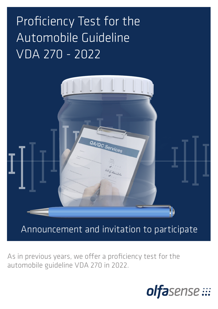# Proficiency Test for the Automobile Guideline VDA 270 - 2022



Announcement and invitation to participate

As in previous years, we offer a proficiency test for the automobile guideline VDA 270 in 2022.

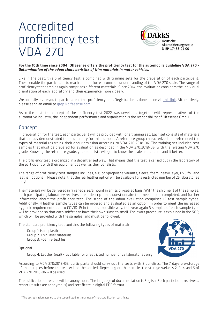# Accredited proficiency test VDA 270



#### For the 10th time since 2004, Olfasense offers the proficiency test for the automobile guideline VDA 270 - *Determination of the odour characteristics of trim materials in motor vehicles.*

Like in the past, this proficiency test is combined with training sets for the preparation of each participant. These enable the participant to reach and reinforce a common understanding of the VDA 270 scale. The range of proficiency test samples again comprises different materials. Since 2014, the evaluation considers the individual orientation of each laboratory and their experience more closely.

We cordially invite you to participate in this proficiency test. Registration is done online via [this link](https://forms.gle/Wi35mReuV7FC7N8v9). Alternatively, please send an email to [qaqc@olfasense.com](mailto:qaqc@olfasense.com).

As in the past, the concept of the proficiency test 2022 was developed together with representatives of the automotive industry; the independent performance and organisation is the responsibility of Olfasense GmbH.

# Concept

In preparation for the test, each participant will be provided with one training set. Each set consists of materials that already demonstrated their suitability for this purpose. A reference group characterized and referenced the types of material regarding their odour emission according to VDA 270:2018-06. The training set includes test samples that must be prepared for evaluation as described in the VDA 270:2018-06, with the relating VDA 270 grade. Knowing the reference grade, your panelists will get to know the scale and understand it better.

The proficiency test is organized in a decentralised way. That means that the test is carried out in the laboratory of the participant with their equipment as well as their panelists.

The range of proficiency test samples includes, e.g. polypropylene variants, fleece, foam, heavy layer, PVC foil and leather (optional). Please note, that the real leather option will be available for a restricted number of 25 laboratories only!

The materials will be delivered in finished size/amount in emission-sealed bags. With the shipment of the samples, each participating laboratory receives a test description, a questionnaire that needs to be completed, and further information about the proficiency test. The scope of the odour evaluation comprises 12 test sample types. Additionally, 4 leather sample types can be ordered and evaluated as an option. In order to meet the increased hygienic requirements due to COVID-19 in the best possible way, this year again 3 samples of each sample type will be provided so that each sniffer can have their own glass to smell. The exact procedure is explained in the SOP, which will be provided with the samples, and must be followed.

The standard proficiency test contains the following types of material:

Group 1: Hard plastics Group 2: Thin layer materials Group 3: Foam & textiles

Optional:



Group 4: Leather (real) - available for a restricted number of 25 laboratories only!

According to VDA 270:2018-06, participants should carry out the tests with 3 panelists. The 7 days pre-storage of the samples before the test will not be applied. Depending on the sample, the storage variants 2, 3, 4 and 5 of VDA 270:2018-06 will be used.

The publication of results will be anonymous. The language of documentation is English. Each participant receives a report (results are anonymous) and certificate in digital PDF format.

<sup>&</sup>lt;sup>1</sup>The accreditation applies to the scope listed in the annex of the accreditation certificate